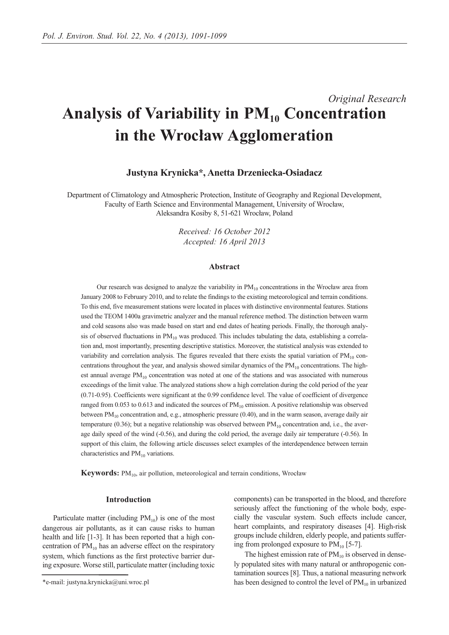# *Original Research* Analysis of Variability in  $PM_{10}$  Concentration **in the Wrocław Agglomeration**

## **Justyna Krynicka\*, Anetta Drzeniecka-Osiadacz**

Department of Climatology and Atmospheric Protection, Institute of Geography and Regional Development, Faculty of Earth Science and Environmental Management, University of Wrocław, Aleksandra Kosiby 8, 51-621 Wrocław, Poland

> *Received: 16 October 2012 Accepted: 16 April 2013*

### **Abstract**

Our research was designed to analyze the variability in  $PM_{10}$  concentrations in the Wrocław area from January 2008 to February 2010, and to relate the findings to the existing meteorological and terrain conditions. To this end, five measurement stations were located in places with distinctive environmental features. Stations used the TEOM 1400a gravimetric analyzer and the manual reference method. The distinction between warm and cold seasons also was made based on start and end dates of heating periods. Finally, the thorough analysis of observed fluctuations in  $PM_{10}$  was produced. This includes tabulating the data, establishing a correlation and, most importantly, presenting descriptive statistics. Moreover, the statistical analysis was extended to variability and correlation analysis. The figures revealed that there exists the spatial variation of  $PM_{10}$  concentrations throughout the year, and analysis showed similar dynamics of the  $PM_{10}$  concentrations. The highest annual average PM<sub>10</sub> concentration was noted at one of the stations and was associated with numerous exceedings of the limit value. The analyzed stations show a high correlation during the cold period of the year (0.71-0.95). Coefficients were significant at the 0.99 confidence level. The value of coefficient of divergence ranged from 0.053 to 0.613 and indicated the sources of  $PM_{10}$  emission. A positive relationship was observed between  $PM_{10}$  concentration and, e.g., atmospheric pressure (0.40), and in the warm season, average daily air temperature (0.36); but a negative relationship was observed between  $PM_{10}$  concentration and, i.e., the average daily speed of the wind (-0.56), and during the cold period, the average daily air temperature (-0.56). In support of this claim, the following article discusses select examples of the interdependence between terrain characteristics and  $PM_{10}$  variations.

**Keywords:** PM<sub>10</sub>, air pollution, meteorological and terrain conditions, Wrocław

## **Introduction**

Particulate matter (including  $PM_{10}$ ) is one of the most dangerous air pollutants, as it can cause risks to human health and life [1-3]. It has been reported that a high concentration of  $PM_{10}$  has an adverse effect on the respiratory system, which functions as the first protective barrier during exposure. Worse still, particulate matter (including toxic components) can be transported in the blood, and therefore seriously affect the functioning of the whole body, especially the vascular system. Such effects include cancer, heart complaints, and respiratory diseases [4]. High-risk groups include children, elderly people, and patients suffering from prolonged exposure to  $PM_{10}$  [5-7].

The highest emission rate of  $PM_{10}$  is observed in densely populated sites with many natural or anthropogenic contamination sources [8]. Thus, a national measuring network has been designed to control the level of  $PM_{10}$  in urbanized

<sup>\*</sup>e-mail: justyna.krynicka@uni.wroc.pl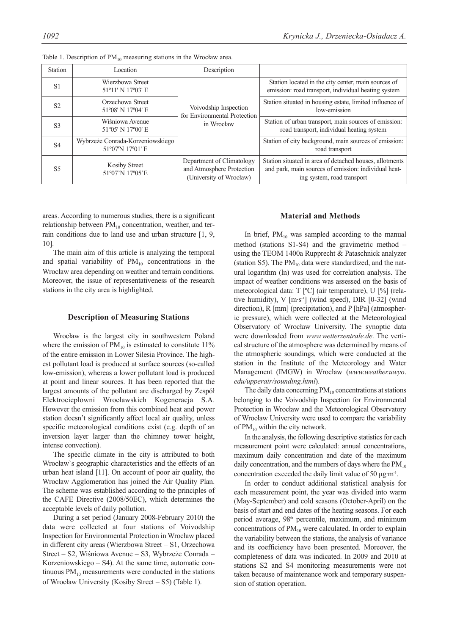| Station        | Location                                            | Description                                                                       |                                                                                                                                               |
|----------------|-----------------------------------------------------|-----------------------------------------------------------------------------------|-----------------------------------------------------------------------------------------------------------------------------------------------|
| S <sub>1</sub> | Wierzbowa Street<br>51°11' N 17°03' E               |                                                                                   | Station located in the city center, main sources of<br>emission: road transport, individual heating system                                    |
| S <sub>2</sub> | Orzechowa Street<br>51°08' N 17°04' E               | Voivodship Inspection<br>for Environmental Protection                             | Station situated in housing estate, limited influence of<br>low-emission                                                                      |
| S <sub>3</sub> | Wiśniowa Avenue<br>51°05' N 17°00' E                | in Wrocław                                                                        | Station of urban transport, main sources of emission:<br>road transport, individual heating system                                            |
| <b>S4</b>      | Wybrzeże Conrada-Korzeniowskiego<br>51°07'N 17°01'E |                                                                                   | Station of city background, main sources of emission:<br>road transport                                                                       |
| <b>S5</b>      | Kosiby Street<br>51°07'N 17°05'E                    | Department of Climatology<br>and Atmosphere Protection<br>(University of Wrocław) | Station situated in area of detached houses, allotments<br>and park, main sources of emission: individual heat-<br>ing system, road transport |

Table 1. Description of  $PM_{10}$  measuring stations in the Wrocław area.

areas. According to numerous studies, there is a significant relationship between  $PM_{10}$  concentration, weather, and terrain conditions due to land use and urban structure [1, 9, 10].

The main aim of this article is analyzing the temporal and spatial variability of  $PM_{10}$  concentrations in the Wrocław area depending on weather and terrain conditions. Moreover, the issue of representativeness of the research stations in the city area is highlighted.

## **Description of Measuring Stations**

Wrocław is the largest city in southwestern Poland where the emission of  $PM_{10}$  is estimated to constitute 11% of the entire emission in Lower Silesia Province. The highest pollutant load is produced at surface sources (so-called low-emission), whereas a lower pollutant load is produced at point and linear sources. It has been reported that the largest amounts of the pollutant are discharged by Zespół Elektrociepłowni Wrocławskich Kogeneracja S.A. However the emission from this combined heat and power station doesn't significantly affect local air quality, unless specific meteorological conditions exist (e.g. depth of an inversion layer larger than the chimney tower height, intense convection).

The specific climate in the city is attributed to both Wrocław`s geographic characteristics and the effects of an urban heat island [11]. On account of poor air quality, the Wrocław Agglomeration has joined the Air Quality Plan. The scheme was established according to the principles of the CAFE Directive (2008/50EC), which determines the acceptable levels of daily pollution.

During a set period (January 2008-February 2010) the data were collected at four stations of Voivodship Inspection for Environmental Protection in Wrocław placed in different city areas (Wierzbowa Street – S1, Orzechowa Street – S2, Wiśniowa Avenue – S3, Wybrzeże Conrada – Korzeniowskiego – S4). At the same time, automatic continuous  $PM_{10}$  measurements were conducted in the stations of Wrocław University (Kosiby Street – S5) (Table 1).

## **Material and Methods**

In brief,  $PM_{10}$  was sampled according to the manual method (stations S1-S4) and the gravimetric method – using the TEOM 1400a Rupprecht & Pataschnick analyzer (station S5). The  $PM_{10}$  data were standardized, and the natural logarithm (ln) was used for correlation analysis. The impact of weather conditions was assessed on the basis of meteorological data: T [ºC] (air temperature), U [%] (relative humidity),  $V$  [m·s<sup>-1</sup>] (wind speed), DIR [0-32] (wind direction), R [mm] (precipitation), and P [hPa] (atmospheric pressure), which were collected at the Meteorological Observatory of Wrocław University. The synoptic data were downloaded from *www.wetterzentrale.de*. The vertical structure of the atmosphere was determined by means of the atmospheric soundings, which were conducted at the station in the Institute of the Meteorology and Water Management (IMGW) in Wrocław (*www.weather.uwyo*. *edu/upperair/sounding.html*).

The daily data concerning  $PM_{10}$  concentrations at stations belonging to the Voivodship Inspection for Environmental Protection in Wrocław and the Meteorological Observatory of Wrocław University were used to compare the variability of  $PM_{10}$  within the city network.

In the analysis, the following descriptive statistics for each measurement point were calculated: annual concentrations, maximum daily concentration and date of the maximum daily concentration, and the numbers of days where the  $PM_{10}$ concentration exceeded the daily limit value of 50 μg·m-3.

In order to conduct additional statistical analysis for each measurement point, the year was divided into warm (May-September) and cold seasons (October-April) on the basis of start and end dates of the heating seasons. For each period average, 98<sup>th</sup> percentile, maximum, and minimum concentrations of  $PM_{10}$  were calculated. In order to explain the variability between the stations, the analysis of variance and its coefficiency have been presented. Moreover, the completeness of data was indicated. In 2009 and 2010 at stations S2 and S4 monitoring measurements were not taken because of maintenance work and temporary suspension of station operation.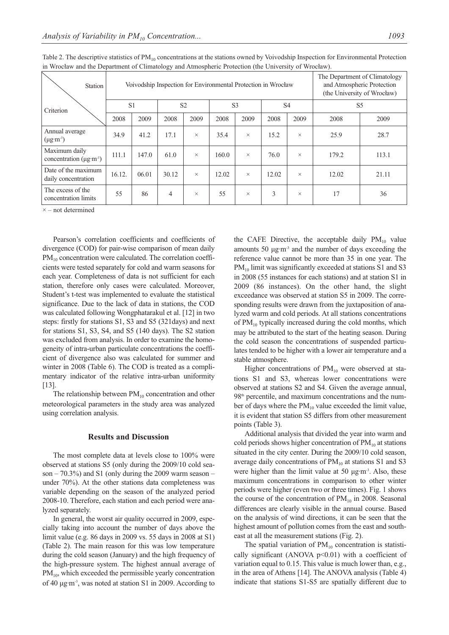| Station                                                    | Voivodship Inspection for Environmental Protection in Wrocław |       |                |          |       |                | The Department of Climatology<br>and Atmospheric Protection<br>(the University of Wrocław) |          |                |       |
|------------------------------------------------------------|---------------------------------------------------------------|-------|----------------|----------|-------|----------------|--------------------------------------------------------------------------------------------|----------|----------------|-------|
| Criterion                                                  | S <sub>1</sub>                                                |       | S <sub>2</sub> |          |       | S <sub>3</sub> | S <sub>4</sub>                                                                             |          | S <sub>5</sub> |       |
|                                                            | 2008                                                          | 2009  | 2008           | 2009     | 2008  | 2009           | 2008                                                                                       | 2009     | 2008           | 2009  |
| Annual average<br>$(\mu g \cdot m^{-3})$                   | 34.9                                                          | 41.2  | 17.1           | $\times$ | 35.4  | $\times$       | 15.2                                                                                       | $\times$ | 25.9           | 28.7  |
| Maximum daily<br>concentration ( $\mu$ g·m <sup>-3</sup> ) | 111.1                                                         | 147.0 | 61.0           | $\times$ | 160.0 | $\times$       | 76.0                                                                                       | $\times$ | 179.2          | 113.1 |
| Date of the maximum<br>daily concentration                 | 16.12.                                                        | 06.01 | 30.12          | $\times$ | 12.02 | $\times$       | 12.02                                                                                      | $\times$ | 12.02          | 21.11 |
| The excess of the<br>concentration limits                  | 55                                                            | 86    | $\overline{4}$ | $\times$ | 55    | $\times$       | 3                                                                                          | $\times$ | 17             | 36    |

Table 2. The descriptive statistics of  $PM_{10}$  concentrations at the stations owned by Voivodship Inspection for Environmental Protection in Wrocław and the Department of Climatology and Atmospheric Protection (the University of Wrocław).

 $\times$  – not determined

Pearson's correlation coefficients and coefficients of divergence (COD) for pair-wise comparison of mean daily  $PM_{10}$  concentration were calculated. The correlation coefficients were tested separately for cold and warm seasons for each year. Completeness of data is not sufficient for each station, therefore only cases were calculated. Moreover, Student's t-test was implemented to evaluate the statistical significance. Due to the lack of data in stations, the COD was calculated following Wongphatarakul et al. [12] in two steps: firstly for stations S1, S3 and S5 (321days) and next for stations S1, S3, S4, and S5 (140 days). The S2 station was excluded from analysis. In order to examine the homogeneity of intra-urban particulate concentrations the coefficient of divergence also was calculated for summer and winter in 2008 (Table 6). The COD is treated as a complimentary indicator of the relative intra-urban uniformity [13].

The relationship between  $PM_{10}$  concentration and other meteorological parameters in the study area was analyzed using correlation analysis.

## **Results and Discussion**

The most complete data at levels close to 100% were observed at stations S5 (only during the 2009/10 cold season  $-70.3\%$ ) and S1 (only during the 2009 warm season  $$ under 70%). At the other stations data completeness was variable depending on the season of the analyzed period 2008-10. Therefore, each station and each period were analyzed separately.

In general, the worst air quality occurred in 2009, especially taking into account the number of days above the limit value (e.g. 86 days in 2009 vs. 55 days in 2008 at S1) (Table 2). The main reason for this was low temperature during the cold season (January) and the high frequency of the high-pressure system. The highest annual average of  $PM_{10}$ , which exceeded the permissible yearly concentration of 40 μg·m-3, was noted at station S1 in 2009. According to the CAFE Directive, the acceptable daily  $PM_{10}$  value amounts 50 μg·m-3 and the number of days exceeding the reference value cannot be more than 35 in one year. The  $PM_{10}$  limit was significantly exceeded at stations S1 and S3 in 2008 (55 instances for each stations) and at station S1 in 2009 (86 instances). On the other hand, the slight exceedance was observed at station S5 in 2009. The corresponding results were drawn from the juxtaposition of analyzed warm and cold periods. At all stations concentrations of PM<sub>10</sub> typically increased during the cold months, which may be attributed to the start of the heating season. During the cold season the concentrations of suspended particulates tended to be higher with a lower air temperature and a stable atmosphere.

Higher concentrations of  $PM_{10}$  were observed at stations S1 and S3, whereas lower concentrations were observed at stations S2 and S4. Given the average annual,  $98<sup>th</sup>$  percentile, and maximum concentrations and the number of days where the  $PM_{10}$  value exceeded the limit value, it is evident that station S5 differs from other measurement points (Table 3).

Additional analysis that divided the year into warm and cold periods shows higher concentration of  $PM_{10}$  at stations situated in the city center. During the 2009/10 cold season, average daily concentrations of  $PM_{10}$  at stations S1 and S3 were higher than the limit value at 50  $\mu$ g·m<sup>-3</sup>. Also, these maximum concentrations in comparison to other winter periods were higher (even two or three times). Fig. 1 shows the course of the concentration of  $PM_{10}$  in 2008. Seasonal differences are clearly visible in the annual course. Based on the analysis of wind directions, it can be seen that the highest amount of pollution comes from the east and southeast at all the measurement stations (Fig. 2).

The spatial variation of  $PM_{10}$  concentration is statistically significant (ANOVA  $p \le 0.01$ ) with a coefficient of variation equal to 0.15. This value is much lower than, e.g., in the area of Athens [14]. The ANOVA analysis (Table 4) indicate that stations S1-S5 are spatially different due to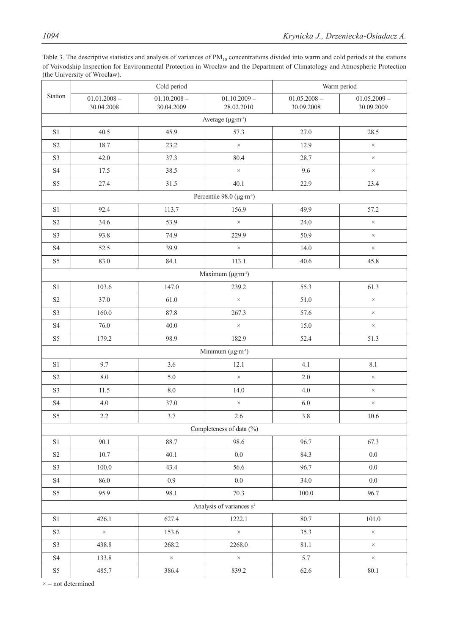| Table 3. The descriptive statistics and analysis of variances of $PM_{10}$ concentrations divided into warm and cold periods at the stations |
|----------------------------------------------------------------------------------------------------------------------------------------------|
| of Voivodship Inspection for Environmental Protection in Wrocław and the Department of Climatology and Atmospheric Protection                |
| (the University of Wrocław).                                                                                                                 |

|                            |                                      | Cold period                  |                                       | Warm period                  |                              |  |  |  |  |
|----------------------------|--------------------------------------|------------------------------|---------------------------------------|------------------------------|------------------------------|--|--|--|--|
| Station                    | $01.01.2008 -$<br>30.04.2008         | $01.10.2008 -$<br>30.04.2009 | $01.10.2009 -$<br>28.02.2010          | $01.05.2008 -$<br>30.09.2008 | $01.05.2009 -$<br>30.09.2009 |  |  |  |  |
|                            | Average $(\mu g \cdot m^{-3})$       |                              |                                       |                              |                              |  |  |  |  |
| $\rm S1$                   | 40.5                                 | 45.9                         | 57.3                                  | 27.0                         | 28.5                         |  |  |  |  |
| S2                         | 18.7                                 | 23.2                         | $\times$                              | 12.9                         | $\times$                     |  |  |  |  |
| S3                         | 42.0                                 | 37.3                         | 80.4                                  | 28.7                         | $\times$                     |  |  |  |  |
| <b>S4</b>                  | 17.5                                 | 38.5                         | $\times$                              | 9.6                          | $\times$                     |  |  |  |  |
| S <sub>5</sub>             | 27.4                                 | 31.5                         | 40.1                                  | 22.9                         | 23.4                         |  |  |  |  |
|                            |                                      |                              | Percentile 98.0 (µg·m <sup>-3</sup> ) |                              |                              |  |  |  |  |
| S1                         | 92.4                                 | 113.7                        | 156.9                                 | 49.9                         | 57.2                         |  |  |  |  |
| S2                         | 34.6                                 | 53.9                         | $\times$                              | 24.0                         | $\times$                     |  |  |  |  |
| S <sub>3</sub>             | 93.8                                 | 74.9                         | 229.9                                 | 50.9                         | $\times$                     |  |  |  |  |
| <b>S4</b>                  | 52.5                                 | 39.9                         | $\times$                              | 14.0                         | $\times$                     |  |  |  |  |
| S <sub>5</sub>             | 83.0                                 | 84.1                         | 113.1                                 | 40.6                         | 45.8                         |  |  |  |  |
|                            |                                      |                              | Maximum (µg·m <sup>-3</sup> )         |                              |                              |  |  |  |  |
| $\rm S1$                   | 103.6                                | 147.0                        | 239.2                                 | 55.3                         | 61.3                         |  |  |  |  |
| S2                         | 37.0                                 | 61.0                         | $\times$                              | 51.0                         | $\times$                     |  |  |  |  |
| S <sub>3</sub>             | 160.0                                | 87.8                         | 267.3                                 | 57.6                         | $\times$                     |  |  |  |  |
| <b>S4</b>                  | 76.0                                 | 40.0                         | $\times$                              | 15.0                         | $\times$                     |  |  |  |  |
| S5                         | 179.2                                | 98.9                         | 182.9                                 | 52.4                         | 51.3                         |  |  |  |  |
|                            |                                      |                              | Minimum ( $\mu$ g·m <sup>-3</sup> )   |                              |                              |  |  |  |  |
| S1                         | 9.7                                  | 3.6                          | 12.1                                  | 4.1                          | 8.1                          |  |  |  |  |
| $\ensuremath{\mathrm{S2}}$ | $8.0\,$                              | 5.0                          | $\times$                              | $2.0\,$                      | $\times$                     |  |  |  |  |
| S <sub>3</sub>             | 11.5                                 | $8.0\,$                      | 14.0                                  | $4.0\,$                      | $\times$                     |  |  |  |  |
| $\ensuremath{\mathrm{S4}}$ | 4.0                                  | 37.0                         | $\times$                              | 6.0                          | $\times$                     |  |  |  |  |
| S <sub>5</sub>             | 2.2                                  | 3.7                          | 2.6                                   | 3.8                          | 10.6                         |  |  |  |  |
|                            |                                      |                              | Completeness of data (%)              |                              |                              |  |  |  |  |
| $\rm S1$                   | 90.1                                 | 88.7                         | 98.6                                  | 96.7                         | 67.3                         |  |  |  |  |
| $\ensuremath{\mathrm{S2}}$ | $10.7\,$                             | 40.1                         | $0.0\,$                               | 84.3                         | $0.0\,$                      |  |  |  |  |
| $\mathbf{S3}$              | 100.0                                | 43.4                         | 56.6                                  | 96.7                         | $0.0\,$                      |  |  |  |  |
| $\ensuremath{\mathrm{S4}}$ | 86.0                                 | 0.9                          | $0.0\,$                               | 34.0                         | $0.0\,$                      |  |  |  |  |
| S <sub>5</sub>             | 95.9                                 | 98.1                         | 70.3                                  | $100.0\,$                    | 96.7                         |  |  |  |  |
|                            | Analysis of variances s <sup>2</sup> |                              |                                       |                              |                              |  |  |  |  |
| $\rm S1$                   | 426.1                                | 627.4                        | 1222.1                                | 80.7                         | $101.0\,$                    |  |  |  |  |
| $\ensuremath{\mathrm{S2}}$ | $\times$                             | 153.6                        | $\times$                              | 35.3                         | $\times$                     |  |  |  |  |
| S3                         | 438.8                                | 268.2                        | 2268.0                                | 81.1                         | $\times$                     |  |  |  |  |
| $\ensuremath{\mathrm{S4}}$ | 133.8                                | $\times$                     | $\times$                              | 5.7                          | $\times$                     |  |  |  |  |
| $\rm S5$                   | 485.7                                | 386.4                        | 839.2                                 | 62.6                         | 80.1                         |  |  |  |  |

 $\times$  – not determined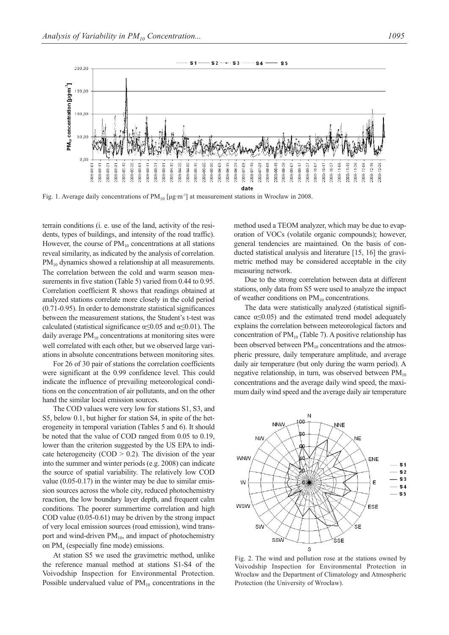$200.00$ 





 $S2 - - S3 - - S4 -$ 

 $S<sub>1</sub>$ 

Fig. 1. Average daily concentrations of  $PM_{10}$  [μg·m<sup>-3</sup>] at measurement stations in Wrocław in 2008.

terrain conditions (i. e. use of the land, activity of the residents, types of buildings, and intensity of the road traffic). However, the course of  $PM_{10}$  concentrations at all stations reveal similarity, as indicated by the analysis of correlation. PM<sub>10</sub> dynamics showed a relationship at all measurements. The correlation between the cold and warm season measurements in five station (Table 5) varied from 0.44 to 0.95. Correlation coefficient R shows that readings obtained at analyzed stations correlate more closely in the cold period (0.71-0.95). In order to demonstrate statistical significances between the measurement stations, the Student's t-test was calculated (statistical significance  $\alpha \leq 0.05$  and  $\alpha \leq 0.01$ ). The daily average  $PM_{10}$  concentrations at monitoring sites were well correlated with each other, but we observed large variations in absolute concentrations between monitoring sites.

For 26 of 30 pair of stations the correlation coefficients were significant at the 0.99 confidence level. This could indicate the influence of prevailing meteorological conditions on the concentration of air pollutants, and on the other hand the similar local emission sources.

The COD values were very low for stations S1, S3, and S5, below 0.1, but higher for station S4, in spite of the heterogeneity in temporal variation (Tables 5 and 6). It should be noted that the value of COD ranged from 0.05 to 0.19, lower than the criterion suggested by the US EPA to indicate heterogeneity (COD  $> 0.2$ ). The division of the year into the summer and winter periods (e.g. 2008) can indicate the source of spatial variability. The relatively low COD value (0.05-0.17) in the winter may be due to similar emission sources across the whole city, reduced photochemistry reaction, the low boundary layer depth, and frequent calm conditions. The poorer summertime correlation and high COD value (0.05-0.61) may be driven by the strong impact of very local emission sources (road emission), wind transport and wind-driven  $PM_{10}$ , and impact of photochemistry on PM<sub>x</sub> (especially fine mode) emissions.

At station S5 we used the gravimetric method, unlike the reference manual method at stations S1-S4 of the Voivodship Inspection for Environmental Protection. Possible undervalued value of  $PM_{10}$  concentrations in the method used a TEOM analyzer, which may be due to evaporation of VOCs (volatile organic compounds); however, general tendencies are maintained. On the basis of conducted statistical analysis and literature [15, 16] the gravimetric method may be considered acceptable in the city measuring network.

Due to the strong correlation between data at different stations, only data from S5 were used to analyze the impact of weather conditions on  $PM_{10}$  concentrations.

The data were statistically analyzed (statistical significance  $\alpha \leq 0.05$ ) and the estimated trend model adequately explains the correlation between meteorological factors and concentration of  $PM_{10}$  (Table 7). A positive relationship has been observed between  $PM_{10}$  concentrations and the atmospheric pressure, daily temperature amplitude, and average daily air temperature (but only during the warm period). A negative relationship, in turn, was observed between  $PM_{10}$ concentrations and the average daily wind speed, the maximum daily wind speed and the average daily air temperature



Fig. 2. The wind and pollution rose at the stations owned by Voivodship Inspection for Environmental Protection in Wrocław and the Department of Climatology and Atmospheric Protection (the University of Wrocław).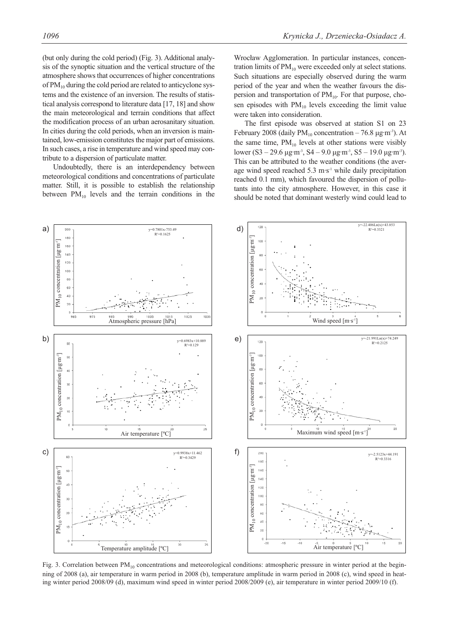(but only during the cold period) (Fig. 3). Additional analysis of the synoptic situation and the vertical structure of the atmosphere shows that occurrences of higher concentrations of  $PM_{10}$  during the cold period are related to anticyclone systems and the existence of an inversion. The results of statistical analysis correspond to literature data [17, 18] and show the main meteorological and terrain conditions that affect the modification process of an urban aerosanitary situation. In cities during the cold periods, when an inversion is maintained, low-emission constitutes the major part of emissions. In such cases, a rise in temperature and wind speed may contribute to a dispersion of particulate matter.

Undoubtedly, there is an interdependency between meteorological conditions and concentrations of particulate matter. Still, it is possible to establish the relationship between  $PM_{10}$  levels and the terrain conditions in the

Wrocław Agglomeration. In particular instances, concentration limits of  $PM_{10}$  were exceeded only at select stations. Such situations are especially observed during the warm period of the year and when the weather favours the dispersion and transportation of  $PM_{10}$ . For that purpose, chosen episodes with  $PM_{10}$  levels exceeding the limit value were taken into consideration.

The first episode was observed at station S1 on 23 February 2008 (daily  $PM_{10}$  concentration – 76.8  $\mu$ g·m<sup>-3</sup>). At the same time,  $PM_{10}$  levels at other stations were visibly lower (S3 – 29.6 μg·m<sup>-3</sup>, S4 – 9.0 μg·m<sup>-3</sup>, S5 – 19.0 μg·m<sup>-3</sup>). This can be attributed to the weather conditions (the average wind speed reached  $5.3 \text{ m} \cdot \text{s}^{-1}$  while daily precipitation reached 0.1 mm), which favoured the dispersion of pollutants into the city atmosphere. However, in this case it should be noted that dominant westerly wind could lead to



Fig. 3. Correlation between  $PM_{10}$  concentrations and meteorological conditions: atmospheric pressure in winter period at the beginning of 2008 (a), air temperature in warm period in 2008 (b), temperature amplitude in warm period in 2008 (c), wind speed in heating winter period 2008/09 (d), maximum wind speed in winter period 2008/2009 (e), air temperature in winter period 2009/10 (f).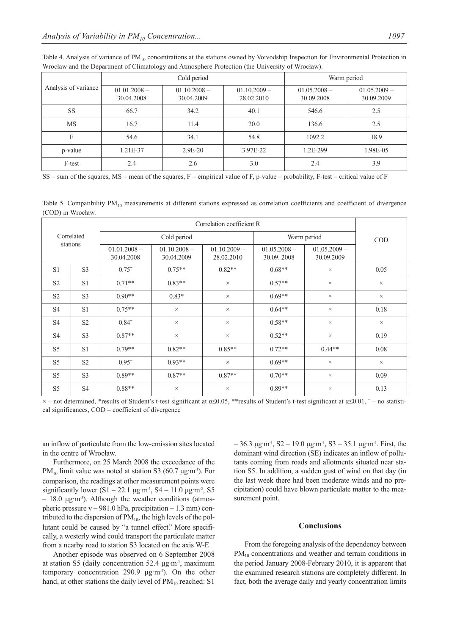|                      |                              | Cold period                  | Warm period                  |                              |                              |
|----------------------|------------------------------|------------------------------|------------------------------|------------------------------|------------------------------|
| Analysis of variance | $01.01.2008 -$<br>30.04.2008 | $01.10.2008 -$<br>30.04.2009 | $01.10.2009 -$<br>28.02.2010 | $01.05.2008 -$<br>30.09.2008 | $01.05.2009 -$<br>30.09.2009 |
| <b>SS</b>            | 66.7                         | 34.2                         | 40.1                         | 546.6                        | 2.5                          |
| MS                   | 16.7                         | 11.4                         | 20.0                         | 136.6                        | 2.5                          |
| F                    | 54.6                         | 34.1                         | 54.8                         | 1092.2                       | 18.9                         |
| p-value              | 1.21E-37                     | $2.9E-20$                    | 3.97E-22                     | 1.2E-299                     | 1.98E-05                     |
| F-test               | 2.4                          | 2.6                          | 3.0                          | 2.4                          | 3.9                          |

Table 4. Analysis of variance of  $PM_{10}$  concentrations at the stations owned by Voivodship Inspection for Environmental Protection in Wrocław and the Department of Climatology and Atmosphere Protection (the University of Wrocław).

SS – sum of the squares, MS – mean of the squares, F – empirical value of F, p-value – probability, F-test – critical value of F

Table 5. Compatibility  $PM_{10}$  measurements at different stations expressed as correlation coefficients and coefficient of divergence (COD) in Wrocław.

| Correlated<br>stations |                |                              |                              |                              |                              |                              |            |
|------------------------|----------------|------------------------------|------------------------------|------------------------------|------------------------------|------------------------------|------------|
|                        |                | Cold period                  |                              |                              | Warm period                  |                              | <b>COD</b> |
|                        |                | $01.01.2008 -$<br>30.04.2008 | $01.10.2008 -$<br>30.04.2009 | $01.10.2009 -$<br>28.02.2010 | $01.05.2008 -$<br>30.09.2008 | $01.05.2009 -$<br>30.09.2009 |            |
| S <sub>1</sub>         | S <sub>3</sub> | $0.75^{-}$                   | $0.75**$                     | $0.82**$                     | $0.68**$                     | $\times$                     | 0.05       |
| S <sub>2</sub>         | S <sub>1</sub> | $0.71**$                     | $0.83**$                     | $\times$                     | $0.57**$                     | $\times$                     | $\times$   |
| S <sub>2</sub>         | S <sub>3</sub> | $0.90**$                     | $0.83*$                      | $\times$                     | $0.69**$                     | $\times$                     | $\times$   |
| <b>S4</b>              | S <sub>1</sub> | $0.75**$                     | $\times$                     | $\times$                     | $0.64**$                     | $\times$                     | 0.18       |
| <b>S4</b>              | S <sub>2</sub> | $0.84^{-}$                   | $\times$                     | $\times$                     | $0.58**$                     | $\times$                     | $\times$   |
| <b>S4</b>              | S <sub>3</sub> | $0.87**$                     | $\times$                     | $\times$                     | $0.52**$                     | $\times$                     | 0.19       |
| S <sub>5</sub>         | S <sub>1</sub> | $0.79**$                     | $0.82**$                     | $0.85**$                     | $0.72**$                     | $0.44**$                     | 0.08       |
| S <sub>5</sub>         | S <sub>2</sub> | $0.95^{-}$                   | $0.93**$                     | $\times$                     | $0.69**$                     | $\times$                     | $\times$   |
| S <sub>5</sub>         | S <sub>3</sub> | $0.89**$                     | $0.87**$                     | $0.87**$                     | $0.70**$                     | $\times$                     | 0.09       |
| S <sub>5</sub>         | <b>S4</b>      | $0.88**$                     | $\times$                     | $\times$                     | $0.89**$                     | $\times$                     | 0.13       |

 $\times$  – not determined, \*results of Student's t-test significant at  $\alpha \le 0.05$ , \*\*results of Student's t-test significant at  $\alpha \le 0.01$ ,  $\bar{ }$  – no statistical significances, COD – coefficient of divergence

an inflow of particulate from the low-emission sites located in the centre of Wrocław.

Furthermore, on 25 March 2008 the exceedance of the PM<sub>10</sub> limit value was noted at station S3 (60.7 μg·m<sup>3</sup>). For comparison, the readings at other measurement points were significantly lower  $(S1 - 22.1 \mu g \cdot m^3, S4 - 11.0 \mu g \cdot m^3, S5$  $-18.0 \mu g \cdot m^{-3}$ ). Although the weather conditions (atmospheric pressure  $v - 981.0$  hPa, precipitation  $-1.3$  mm) contributed to the dispersion of  $PM_{10}$ , the high levels of the pollutant could be caused by "a tunnel effect." More specifically, a westerly wind could transport the particulate matter from a nearby road to station S3 located on the axis W-E.

Another episode was observed on 6 September 2008 at station S5 (daily concentration 52.4 μg·m-3, maximum temporary concentration 290.9 μg·m-3). On the other hand, at other stations the daily level of  $PM_{10}$  reached: S1

 $-36.3 \mu$ g·m<sup>-3</sup>, S<sub>2</sub> – 19.0 μg·m<sup>-3</sup>, S<sub>3</sub> – 35.1 μg·m<sup>-3</sup>. First, the dominant wind direction (SE) indicates an inflow of pollutants coming from roads and allotments situated near station S5. In addition, a sudden gust of wind on that day (in the last week there had been moderate winds and no precipitation) could have blown particulate matter to the measurement point.

#### **Conclusions**

From the foregoing analysis of the dependency between  $PM_{10}$  concentrations and weather and terrain conditions in the period January 2008-February 2010, it is apparent that the examined research stations are completely different. In fact, both the average daily and yearly concentration limits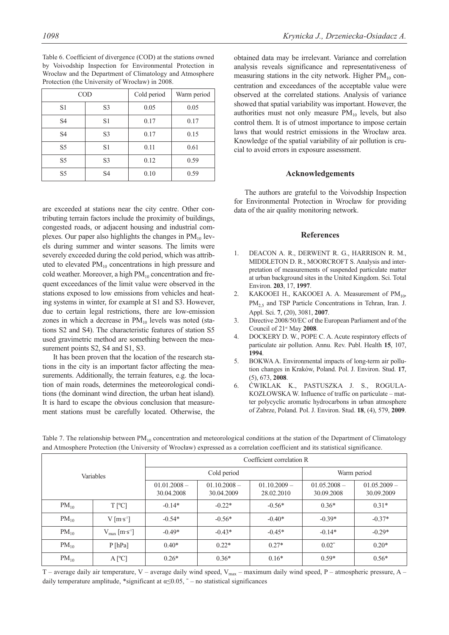Table 6. Coefficient of divergence (COD) at the stations owned by Voivodship Inspection for Environmental Protection in Wrocław and the Department of Climatology and Atmosphere Protection (the University of Wrocław) in 2008.

|                | <b>COD</b>     | Cold period | Warm period |
|----------------|----------------|-------------|-------------|
| S <sub>1</sub> | S <sub>3</sub> | 0.05        | 0.05        |
| S <sub>4</sub> | S1             | 0.17        | 0.17        |
| S <sub>4</sub> | S <sub>3</sub> | 0.17        | 0.15        |
| S <sub>5</sub> | S1             | 0.11        | 0.61        |
| S5             | S <sub>3</sub> | 0.12        | 0.59        |
| S <sub>5</sub> | S <sub>4</sub> | 0.10        | 0.59        |

are exceeded at stations near the city centre. Other contributing terrain factors include the proximity of buildings, congested roads, or adjacent housing and industrial complexes. Our paper also highlights the changes in  $PM_{10}$  levels during summer and winter seasons. The limits were severely exceeded during the cold period, which was attributed to elevated  $PM_{10}$  concentrations in high pressure and cold weather. Moreover, a high  $PM_{10}$  concentration and frequent exceedances of the limit value were observed in the stations exposed to low emissions from vehicles and heating systems in winter, for example at S1 and S3. However, due to certain legal restrictions, there are low-emission zones in which a decrease in  $PM_{10}$  levels was noted (stations S2 and S4). The characteristic features of station S5 used gravimetric method are something between the measurement points S2, S4 and S1, S3.

It has been proven that the location of the research stations in the city is an important factor affecting the measurements. Additionally, the terrain features, e.g. the location of main roads, determines the meteorological conditions (the dominant wind direction, the urban heat island). It is hard to escape the obvious conclusion that measurement stations must be carefully located. Otherwise, the obtained data may be irrelevant. Variance and correlation analysis reveals significance and representativeness of

measuring stations in the city network. Higher  $PM_{10}$  concentration and exceedances of the acceptable value were observed at the correlated stations. Analysis of variance showed that spatial variability was important. However, the authorities must not only measure  $PM_{10}$  levels, but also control them. It is of utmost importance to impose certain laws that would restrict emissions in the Wrocław area. Knowledge of the spatial variability of air pollution is crucial to avoid errors in exposure assessment.

### **Acknowledgements**

The authors are grateful to the Voivodship Inspection for Environmental Protection in Wrocław for providing data of the air quality monitoring network.

## **References**

- 1. DEACON A. R., DERWENT R. G., HARRISON R. M., MIDDLETON D. R., MOORCROFT S. Analysis and interpretation of measurements of suspended particulate matter at urban background sites in the United Kingdom. Sci. Total Environ. **203**, 17, **1997**.
- 2. KAKOOEI H., KAKOOEI A. A. Measurement of  $PM_{10}$ , PM<sub>2.5</sub> and TSP Particle Concentrations in Tehran, Iran. J. Appl. Sci. **7**, (20), 3081, **2007**.
- 3. Directive 2008/50/EC of the European Parliament and of the Council of 21st May **2008**.
- 4. DOCKERY D. W., POPE C. A. Acute respiratory effects of particulate air pollution. Annu. Rev. Publ. Health **15**, 107, **1994**.
- 5. BOKWA A. Environmental impacts of long-term air pollution changes in Kraków, Poland. Pol. J. Environ. Stud. **17**, (5), 673, **2008**.
- 6. ĆWIKLAK K., PASTUSZKA J. S., ROGULA-KOZŁOWSKA W. Influence of traffic on particulate – matter polycyclic aromatic hydrocarbons in urban atmosphere of Zabrze, Poland. Pol. J. Environ. Stud. **18**, (4), 579, **2009**.

| Variables |                                       | Coefficient correlation R    |                              |                              |                              |                              |  |
|-----------|---------------------------------------|------------------------------|------------------------------|------------------------------|------------------------------|------------------------------|--|
|           |                                       | Cold period                  |                              |                              | Warm period                  |                              |  |
|           |                                       | $01.01.2008 -$<br>30.04.2008 | $01.10.2008 -$<br>30.04.2009 | $01.10.2009 -$<br>28.02.2010 | $01.05.2008 -$<br>30.09.2008 | $01.05.2009 -$<br>30.09.2009 |  |
| $PM_{10}$ | $T$ [ <sup>o</sup> C]                 | $-0.14*$                     | $-0.22*$                     | $-0.56*$                     | $0.36*$                      | $0.31*$                      |  |
| $PM_{10}$ | $V$ [m·s <sup>-1</sup> ]              | $-0.54*$                     | $-0.56*$                     | $-0.40*$                     | $-0.39*$                     | $-0.37*$                     |  |
| $PM_{10}$ | $V_{\text{max}}$ [m·s <sup>-1</sup> ] | $-0.49*$                     | $-0.43*$                     | $-0.45*$                     | $-0.14*$                     | $-0.29*$                     |  |
| $PM_{10}$ | P[hPa]                                | $0.40*$                      | $0.22*$                      | $0.27*$                      | $0.02^{-}$                   | $0.20*$                      |  |
| $PM_{10}$ | $A [^{\circ}C]$                       | $0.26*$                      | $0.36*$                      | $0.16*$                      | $0.59*$                      | $0.56*$                      |  |

Table 7. The relationship between  $PM_{10}$  concentration and meteorological conditions at the station of the Department of Climatology and Atmosphere Protection (the University of Wrocław) expressed as a correlation coefficient and its statistical significance.

T – average daily air temperature, V – average daily wind speed,  $V_{\text{max}}$  – maximum daily wind speed, P – atmospheric pressure, A – daily temperature amplitude, \*significant at  $\alpha \leq 0.05$ ,  $\bar{\ }$  – no statistical significances